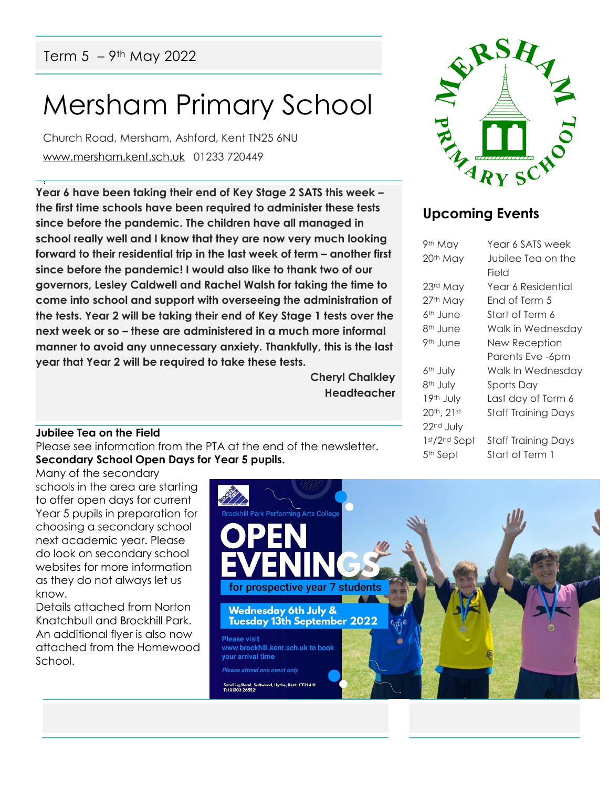## Term  $5 - 9$ <sup>th</sup> May 2022

# Mersham Primary School

Church Road, Mersham, Ashford, Kent TN25 6NU [www.mersham.kent.sch.uk](http://www.mersham.kent.sch.uk/) 01233 720449

! **Year 6 have been taking their end of Key Stage 2 SATS this week – the first time schools have been required to administer these tests since before the pandemic. The children have all managed in school really well and I know that they are now very much looking forward to their residential trip in the last week of term – another first since before the pandemic! I would also like to thank two of our governors, Lesley Caldwell and Rachel Walsh for taking the time to come into school and support with overseeing the administration of the tests. Year 2 will be taking their end of Key Stage 1 tests over the next week or so – these are administered in a much more informal manner to avoid any unnecessary anxiety. Thankfully, this is the last year that Year 2 will be required to take these tests.** 

> **Cheryl Chalkley Headteacher**



### **Upcoming Events**

| 9th May              | Year 6 SATS week           |
|----------------------|----------------------------|
| 20 <sup>th</sup> May | Jubilee Tea on the         |
|                      | Field                      |
| 23rd May             | Year 6 Residential         |
| 27th May             | Fnd of Term 5              |
| 6 <sup>th</sup> June | Start of Term 6            |
| 8 <sup>th</sup> June | Walk in Wednesday          |
| 9 <sup>th</sup> June | New Reception              |
|                      | Parents Eve -6pm           |
| 6 <sup>th</sup> July | Walk In Wednesday          |
| 8 <sup>th</sup> July | Sports Day                 |
| 19th July            | Last day of Term 6         |
| 20th, 21st           | <b>Staff Training Days</b> |
| 22nd July            |                            |
| 1st/2nd Sept         | <b>Staff Training Days</b> |
| 5 <sup>th</sup> Sept | Start of Term 1            |
|                      |                            |

#### **Jubilee Tea on the Field**

Please see information from the PTA at the end of the newsletter. **Secondary School Open Days for Year 5 pupils.**

Many of the secondary schools in the area are starting to offer open days for current Year 5 pupils in preparation for choosing a secondary school next academic year. Please do look on secondary school websites for more information as they do not always let us know.

Details attached from Norton Knatchbull and Brockhill Park. An additional flyer is also now attached from the Homewood School.

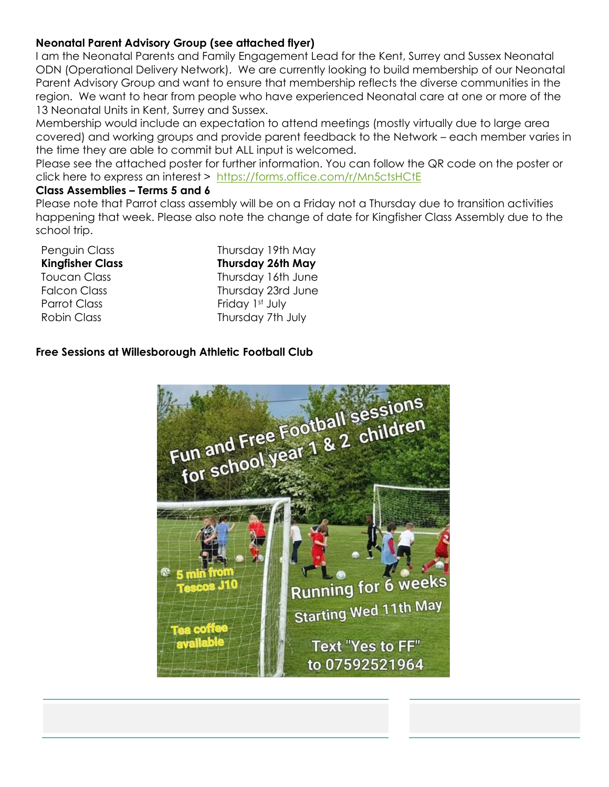#### **Neonatal Parent Advisory Group (see attached flyer)**

I am the Neonatal Parents and Family Engagement Lead for the Kent, Surrey and Sussex Neonatal ODN (Operational Delivery Network). We are currently looking to build membership of our Neonatal Parent Advisory Group and want to ensure that membership reflects the diverse communities in the region. We want to hear from people who have experienced Neonatal care at one or more of the 13 Neonatal Units in Kent, Surrey and Sussex.

Membership would include an expectation to attend meetings (mostly virtually due to large area covered) and working groups and provide parent feedback to the Network – each member varies in the time they are able to commit but ALL input is welcomed.

Please see the attached poster for further information. You can follow the QR code on the poster or click here to express an interest > <https://forms.office.com/r/Mn5ctsHCtE>

#### **Class Assemblies – Terms 5 and 6**

Please note that Parrot class assembly will be on a Friday not a Thursday due to transition activities happening that week. Please also note the change of date for Kingfisher Class Assembly due to the school trip.

| Penguin Class           |
|-------------------------|
| <b>Kingfisher Class</b> |
| Toucan Class            |
| <b>Falcon Class</b>     |
| Parrot Class            |
|                         |

Penguin Class Thursday 19th May **Kingfisher Class Thursday 26th May** Thursday 16th June Thursday 23rd June Friday 1st July Robin Class Thursday 7th July

#### **Free Sessions at Willesborough Athletic Football Club**

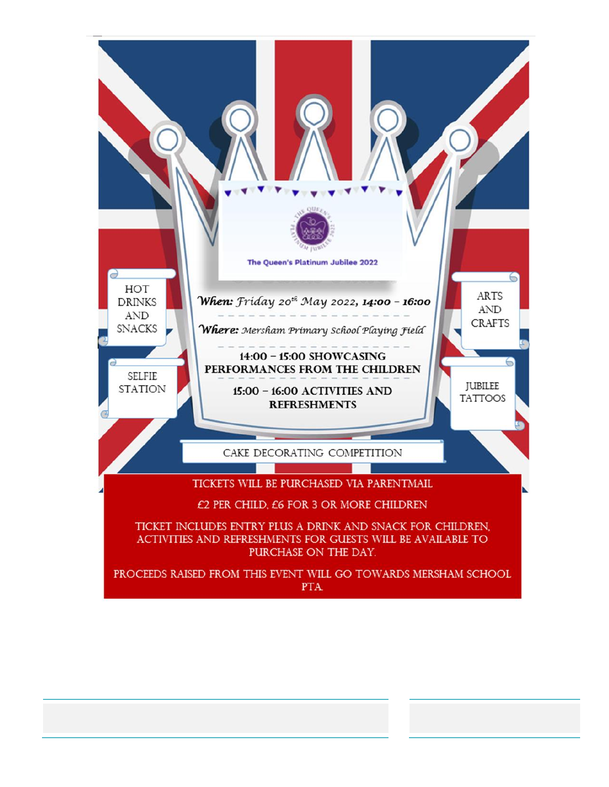